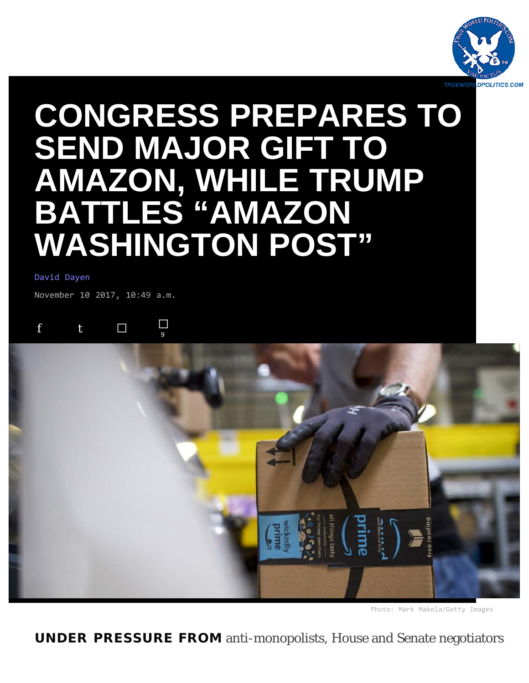

## <span id="page-0-0"></span>**[CONGRESS PREPARES TO](https://theintercept.com/2017/11/10/amazon-amendment-ndaa-congress/) [SEND MAJOR GIFT TO](#page-0-0) [AMAZON, WHILE TRUMP](#page-0-0) [BATTLES "AMAZON](#page-0-0) [WASHINGTON POST"](#page-0-0)**

## [David Dayen](https://theintercept.com/staff/davidd/)

November 10 2017, 10:49 a.m.

## [f](https://www.facebook.com/sharer/sharer.php?u=https%3A%2F%2Finterc.pt%2F2AyNFu9) [t](https://twitter.com/intent/tweet?text=%E2%80%9CAmazon%20amendment%E2%80%9D%20shows%20limits%20of%20Trump)  $\square$  $\overline{9}$  $\overline{9}$  $\overline{9}$



Photo: Mark Makela/Getty Images

**UNDER PRESSURE FROM** anti-monopolists, House and Senate negotiators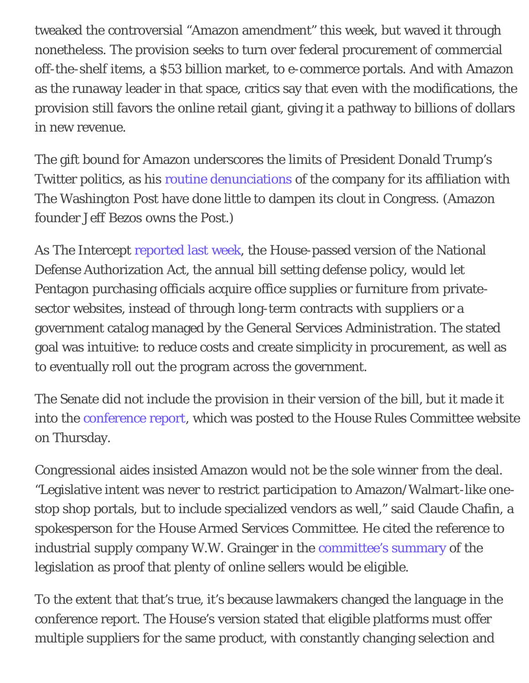tweaked the controversial "Amazon amendment" this week, but waved it through nonetheless. The provision seeks to turn over federal procurement of commercial off-the-shelf items, a \$53 billion market, to e-commerce portals. And with Amazon as the runaway leader in that space, critics say that even with the modifications, the provision still favors the online retail giant, giving it a pathway to billions of dollars in new revenue.

The gift bound for Amazon underscores the limits of President Donald Trump's Twitter politics, as his [routine denunciations](https://twitter.com/realdonaldtrump/status/889672374458646528?lang=en) of the company for its affiliation with The Washington Post have done little to dampen its clout in Congress. (Amazon founder Jeff Bezos owns the Post.)

As The Intercept [reported last week,](https://theintercept.com/2017/11/02/amazon-amendment-online-marketplaces/) the House-passed version of the National Defense Authorization Act, the annual bill setting defense policy, would let Pentagon purchasing officials acquire office supplies or furniture from privatesector websites, instead of through long-term contracts with suppliers or a government catalog managed by the General Services Administration. The stated goal was intuitive: to reduce costs and create simplicity in procurement, as well as to eventually roll out the program across the government.

The Senate did not include the provision in their version of the bill, but it made it into the [conference report,](http://docs.house.gov/billsthisweek/20171113/HRPT-115-HR2810.pdf) which was posted to the House Rules Committee website on Thursday.

Congressional aides insisted Amazon would not be the sole winner from the deal. "Legislative intent was never to restrict participation to Amazon/Walmart-like onestop shop portals, but to include specialized vendors as well," said Claude Chafin, a spokesperson for the House Armed Services Committee. He cited the reference to industrial supply company W.W. Grainger in the [committee's summary](https://armedservices.house.gov/sites/republicans.armedservices.house.gov/files/wysiwyg_uploaded/FY18%20NDAA%20Floor%20Summary%20Draft%20vFinal_0.pdf) of the legislation as proof that plenty of online sellers would be eligible.

To the extent that that's true, it's because lawmakers changed the language in the conference report. The House's version stated that eligible platforms must offer multiple suppliers for the same product, with constantly changing selection and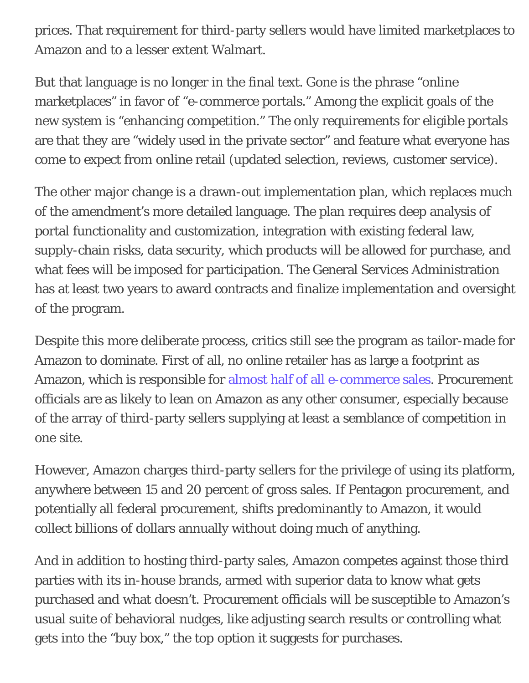prices. That requirement for third-party sellers would have limited marketplaces to Amazon and to a lesser extent Walmart.

But that language is no longer in the final text. Gone is the phrase "online marketplaces" in favor of "e-commerce portals." Among the explicit goals of the new system is "enhancing competition." The only requirements for eligible portals are that they are "widely used in the private sector" and feature what everyone has come to expect from online retail (updated selection, reviews, customer service).

The other major change is a drawn-out implementation plan, which replaces much of the amendment's more detailed language. The plan requires deep analysis of portal functionality and customization, integration with existing federal law, supply-chain risks, data security, which products will be allowed for purchase, and what fees will be imposed for participation. The General Services Administration has at least two years to award contracts and finalize implementation and oversight of the program.

Despite this more deliberate process, critics still see the program as tailor-made for Amazon to dominate. First of all, no online retailer has as large a footprint as Amazon, which is responsible for [almost half of all e-commerce sales](https://www.recode.net/2017/10/24/16534100/amazon-market-share-ebay-walmart-apple-ecommerce-sales-2017). Procurement officials are as likely to lean on Amazon as any other consumer, especially because of the array of third-party sellers supplying at least a semblance of competition in one site.

However, Amazon charges third-party sellers for the privilege of using its platform, anywhere between 15 and 20 percent of gross sales. If Pentagon procurement, and potentially all federal procurement, shifts predominantly to Amazon, it would collect billions of dollars annually without doing much of anything.

And in addition to hosting third-party sales, Amazon competes against those third parties with its in-house brands, armed with superior data to know what gets purchased and what doesn't. Procurement officials will be susceptible to Amazon's usual suite of behavioral nudges, like adjusting search results or controlling what gets into the "buy box," the top option it suggests for purchases.